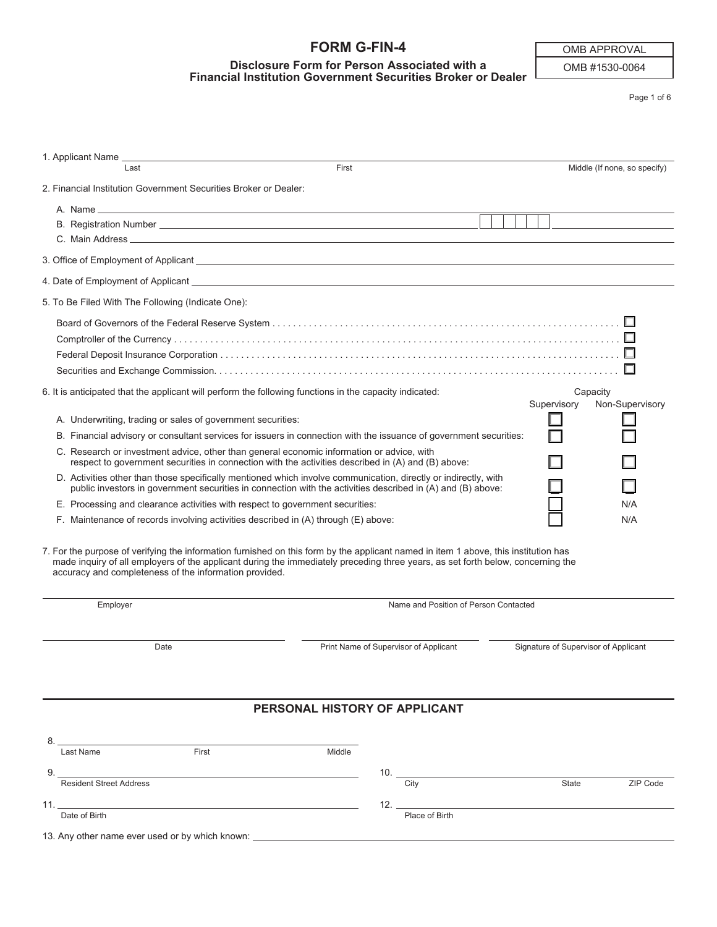# **FORM G-FIN-4**

#### **Disclosure Form for Person Associated with a Financial Institution Government Securities Broker or Dealer**

OMB APPROVAL

OMB #1530-0064

Page 1 of 6

| 1. Applicant Name _<br>Last                                                                                                                                                                                                                                                                                                                                                                                                                                                                                 | First  |                                               |                                      | Middle (If none, so specify) |
|-------------------------------------------------------------------------------------------------------------------------------------------------------------------------------------------------------------------------------------------------------------------------------------------------------------------------------------------------------------------------------------------------------------------------------------------------------------------------------------------------------------|--------|-----------------------------------------------|--------------------------------------|------------------------------|
| 2. Financial Institution Government Securities Broker or Dealer:                                                                                                                                                                                                                                                                                                                                                                                                                                            |        |                                               |                                      |                              |
|                                                                                                                                                                                                                                                                                                                                                                                                                                                                                                             |        |                                               |                                      |                              |
|                                                                                                                                                                                                                                                                                                                                                                                                                                                                                                             |        |                                               |                                      |                              |
|                                                                                                                                                                                                                                                                                                                                                                                                                                                                                                             |        |                                               |                                      |                              |
| 5. To Be Filed With The Following (Indicate One):                                                                                                                                                                                                                                                                                                                                                                                                                                                           |        |                                               |                                      |                              |
| 6. It is anticipated that the applicant will perform the following functions in the capacity indicated:<br>A. Underwriting, trading or sales of government securities:<br>B. Financial advisory or consultant services for issuers in connection with the issuance of government securities:<br>C. Research or investment advice, other than general economic information or advice, with                                                                                                                   |        |                                               | Capacity<br>Supervisory              | Non-Supervisory              |
| respect to government securities in connection with the activities described in (A) and (B) above:<br>D. Activities other than those specifically mentioned which involve communication, directly or indirectly, with<br>public investors in government securities in connection with the activities described in (A) and (B) above:<br>E. Processing and clearance activities with respect to government securities:<br>F. Maintenance of records involving activities described in (A) through (E) above: |        |                                               |                                      | N/A<br>N/A                   |
| 7. For the purpose of verifying the information furnished on this form by the applicant named in item 1 above, this institution has<br>made inquiry of all employers of the applicant during the immediately preceding three years, as set forth below, concerning the<br>accuracy and completeness of the information provided.                                                                                                                                                                            |        |                                               |                                      |                              |
| Employer                                                                                                                                                                                                                                                                                                                                                                                                                                                                                                    |        | Name and Position of Person Contacted         |                                      |                              |
| Date                                                                                                                                                                                                                                                                                                                                                                                                                                                                                                        |        | Print Name of Supervisor of Applicant         | Signature of Supervisor of Applicant |                              |
|                                                                                                                                                                                                                                                                                                                                                                                                                                                                                                             |        | PERSONAL HISTORY OF APPLICANT                 |                                      |                              |
| Last Name<br>First<br>9.                                                                                                                                                                                                                                                                                                                                                                                                                                                                                    | Middle |                                               |                                      |                              |
| <b>Resident Street Address</b><br>11. $\qquad \qquad$<br>Date of Birth<br>13. Any other name ever used or by which known: ________________________________                                                                                                                                                                                                                                                                                                                                                  |        | City<br>12. $\qquad \qquad$<br>Place of Birth | State                                | ZIP Code                     |
|                                                                                                                                                                                                                                                                                                                                                                                                                                                                                                             |        |                                               |                                      |                              |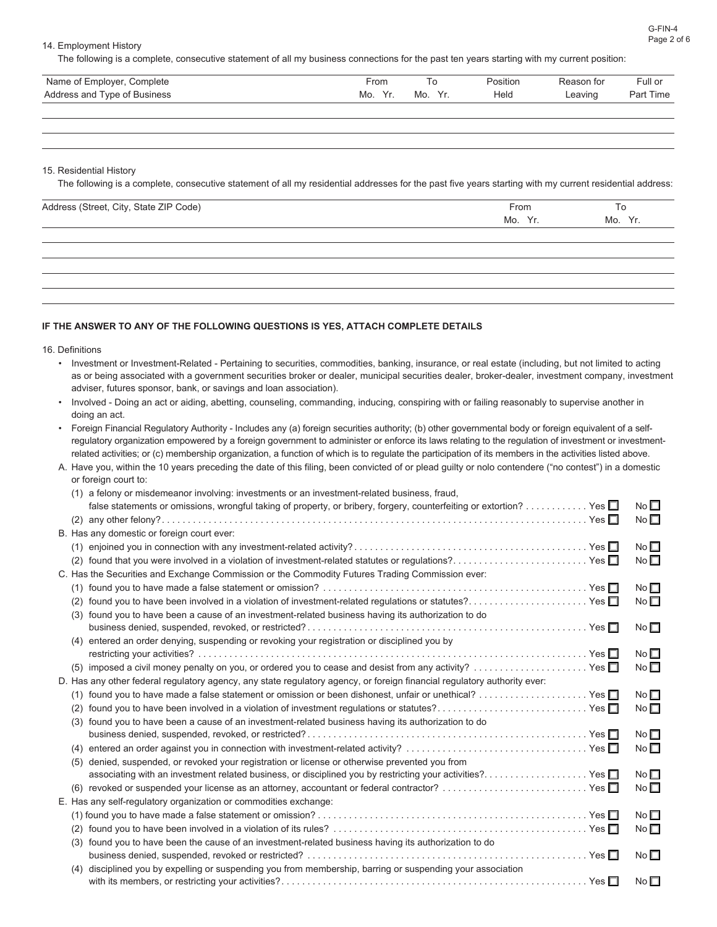14. Employment History

The following is a complete, consecutive statement of all my business connections for the past ten years starting with my current position:

| Name of Employer, Complete   | -rom                 |    | Position | Reason for | Full or   |
|------------------------------|----------------------|----|----------|------------|-----------|
| Address and Type of Business | Mo.<br>$\mathcal{L}$ | Mo | Held     | Leaving    | Part Time |

15. Residential History

The following is a complete, consecutive statement of all my residential addresses for the past five years starting with my current residential address:

| Address (Street, City, State ZIP Code) | From    | To      |
|----------------------------------------|---------|---------|
|                                        | Mo. Yr. | Mo. Yr. |
|                                        |         |         |
|                                        |         |         |
|                                        |         |         |
|                                        |         |         |
|                                        |         |         |

#### **IF THE ANSWER TO ANY OF THE FOLLOWING QUESTIONS IS YES, ATTACH COMPLETE DETAILS**

16. Definitions

- Investment or Investment-Related Pertaining to securities, commodities, banking, insurance, or real estate (including, but not limited to acting as or being associated with a government securities broker or dealer, municipal securities dealer, broker-dealer, investment company, investment adviser, futures sponsor, bank, or savings and loan association).
- Involved Doing an act or aiding, abetting, counseling, commanding, inducing, conspiring with or failing reasonably to supervise another in doing an act.
- Foreign Financial Regulatory Authority Includes any (a) foreign securities authority; (b) other governmental body or foreign equivalent of a selfregulatory organization empowered by a foreign government to administer or enforce its laws relating to the regulation of investment or investmentrelated activities; or (c) membership organization, a function of which is to regulate the participation of its members in the activities listed above.
- A. Have you, within the 10 years preceding the date of this filing, been convicted of or plead guilty or nolo contendere ("no contest") in a domestic or foreign court to:

| (1) a felony or misdemeanor involving: investments or an investment-related business, fraud,                             |                 |
|--------------------------------------------------------------------------------------------------------------------------|-----------------|
| false statements or omissions, wrongful taking of property, or bribery, forgery, counterfeiting or extortion? Yes $\Box$ | No $\square$    |
|                                                                                                                          | No <sub>1</sub> |
| B. Has any domestic or foreign court ever:                                                                               |                 |
|                                                                                                                          | No $\square$    |
| found that you were involved in a violation of investment-related statutes or regulations?Yes<br>(2)                     | $No \Box$       |
| C. Has the Securities and Exchange Commission or the Commodity Futures Trading Commission ever:                          |                 |
| (1)                                                                                                                      | No $\square$    |
| found you to have been involved in a violation of investment-related regulations or statutes? Yes<br>(2)                 | No $\square$    |
| found you to have been a cause of an investment-related business having its authorization to do<br>(3)                   |                 |
|                                                                                                                          | $No \Box$       |
| entered an order denying, suspending or revoking your registration or disciplined you by                                 |                 |
| restricting your activities?.                                                                                            | No $\Box$       |
| (5)                                                                                                                      | No              |
| D. Has any other federal regulatory agency, any state regulatory agency, or foreign financial regulatory authority ever: |                 |
| (1)                                                                                                                      | No $\square$    |
| found you to have been involved in a violation of investment regulations or statutes? Yes<br>(2)                         | $No \Box$       |
| found you to have been a cause of an investment-related business having its authorization to do<br>(3)                   |                 |
|                                                                                                                          | $No \Box$       |
| (4)                                                                                                                      | $No \Box$       |
| denied, suspended, or revoked your registration or license or otherwise prevented you from<br>(5)                        |                 |
| associating with an investment related business, or disciplined you by restricting your activities?Yes                   | No $\square$    |
|                                                                                                                          | $No \Box$       |
| E. Has any self-regulatory organization or commodities exchange:                                                         |                 |
|                                                                                                                          | No $\square$    |
|                                                                                                                          | No              |
| found you to have been the cause of an investment-related business having its authorization to do<br>(3)                 |                 |
|                                                                                                                          | No $\square$    |
| disciplined you by expelling or suspending you from membership, barring or suspending your association<br>(4)            |                 |
|                                                                                                                          | No $\square$    |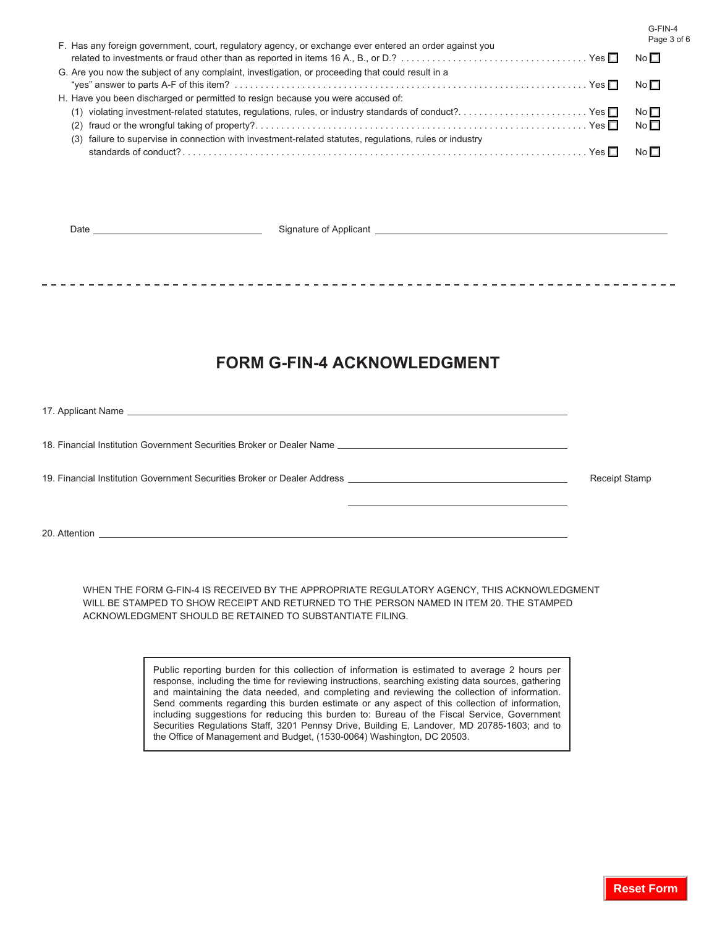G-FIN-4  $93$  of 6

| F. Has any foreign government, court, regulatory agency, or exchange ever entered an order against you  | Page            |
|---------------------------------------------------------------------------------------------------------|-----------------|
|                                                                                                         | No <sub>1</sub> |
| G. Are you now the subject of any complaint, investigation, or proceeding that could result in a        |                 |
|                                                                                                         | No <b>□</b>     |
| H. Have you been discharged or permitted to resign because you were accused of:                         |                 |
| violating investment-related statutes, regulations, rules, or industry standards of conduct?Yes<br>(1)  | No $\Box$       |
|                                                                                                         | No $\Box$       |
| (3) failure to supervise in connection with investment-related statutes, regulations, rules or industry |                 |
|                                                                                                         | $N \circ \Box$  |
|                                                                                                         |                 |

| <b>FORM G-FIN-4 ACKNOWLEDGMENT</b> |                      |
|------------------------------------|----------------------|
|                                    |                      |
|                                    |                      |
|                                    | <b>Receipt Stamp</b> |
|                                    |                      |

 WHEN THE FORM G-FIN-4 IS RECEIVED BY THE APPROPRIATE REGULATORY AGENCY, THIS ACKNOWLEDGMENT WILL BE STAMPED TO SHOW RECEIPT AND RETURNED TO THE PERSON NAMED IN ITEM 20. THE STAMPED ACKNOWLEDGMENT SHOULD BE RETAINED TO SUBSTANTIATE FILING.

> Public reporting burden for this collection of information is estimated to average 2 hours per response, including the time for reviewing instructions, searching existing data sources, gathering and maintaining the data needed, and completing and reviewing the collection of information. Send comments regarding this burden estimate or any aspect of this collection of information, including suggestions for reducing this burden to: Bureau of the Fiscal Service, Government Securities Regulations Staff, 3201 Pennsy Drive, Building E, Landover, MD 20785-1603; and to the Office of Management and Budget, (1530-0064) Washington, DC 20503.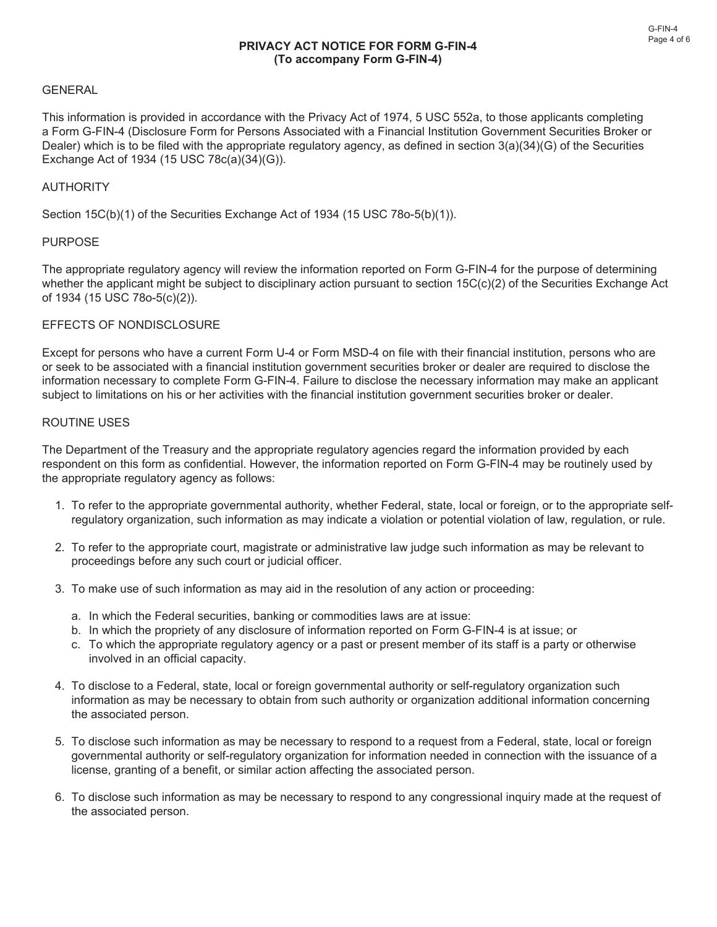#### **GENERAL**

This information is provided in accordance with the Privacy Act of 1974, 5 USC 552a, to those applicants completing a Form G-FIN-4 (Disclosure Form for Persons Associated with a Financial Institution Government Securities Broker or Dealer) which is to be filed with the appropriate regulatory agency, as defined in section 3(a)(34)(G) of the Securities Exchange Act of 1934 (15 USC 78c(a)(34)(G)).

### AUTHORITY

Section 15C(b)(1) of the Securities Exchange Act of 1934 (15 USC 78o-5(b)(1)).

#### **PURPOSE**

The appropriate regulatory agency will review the information reported on Form G-FIN-4 for the purpose of determining whether the applicant might be subject to disciplinary action pursuant to section 15C(c)(2) of the Securities Exchange Act of 1934 (15 USC 78o-5(c)(2)).

#### EFFECTS OF NONDISCLOSURE

Except for persons who have a current Form U-4 or Form MSD-4 on file with their financial institution, persons who are or seek to be associated with a financial institution government securities broker or dealer are required to disclose the information necessary to complete Form G-FIN-4. Failure to disclose the necessary information may make an applicant subject to limitations on his or her activities with the financial institution government securities broker or dealer.

#### ROUTINE USES

The Department of the Treasury and the appropriate regulatory agencies regard the information provided by each respondent on this form as confidential. However, the information reported on Form G-FIN-4 may be routinely used by the appropriate regulatory agency as follows:

- 1. To refer to the appropriate governmental authority, whether Federal, state, local or foreign, or to the appropriate selfregulatory organization, such information as may indicate a violation or potential violation of law, regulation, or rule.
- 2. To refer to the appropriate court, magistrate or administrative law judge such information as may be relevant to proceedings before any such court or judicial officer.
- 3. To make use of such information as may aid in the resolution of any action or proceeding:
	- a. In which the Federal securities, banking or commodities laws are at issue:
	- b. In which the propriety of any disclosure of information reported on Form G-FIN-4 is at issue; or
	- c. To which the appropriate regulatory agency or a past or present member of its staff is a party or otherwise involved in an official capacity.
- 4. To disclose to a Federal, state, local or foreign governmental authority or self-regulatory organization such information as may be necessary to obtain from such authority or organization additional information concerning the associated person.
- 5. To disclose such information as may be necessary to respond to a request from a Federal, state, local or foreign governmental authority or self-regulatory organization for information needed in connection with the issuance of a license, granting of a benefit, or similar action affecting the associated person.
- 6. To disclose such information as may be necessary to respond to any congressional inquiry made at the request of the associated person.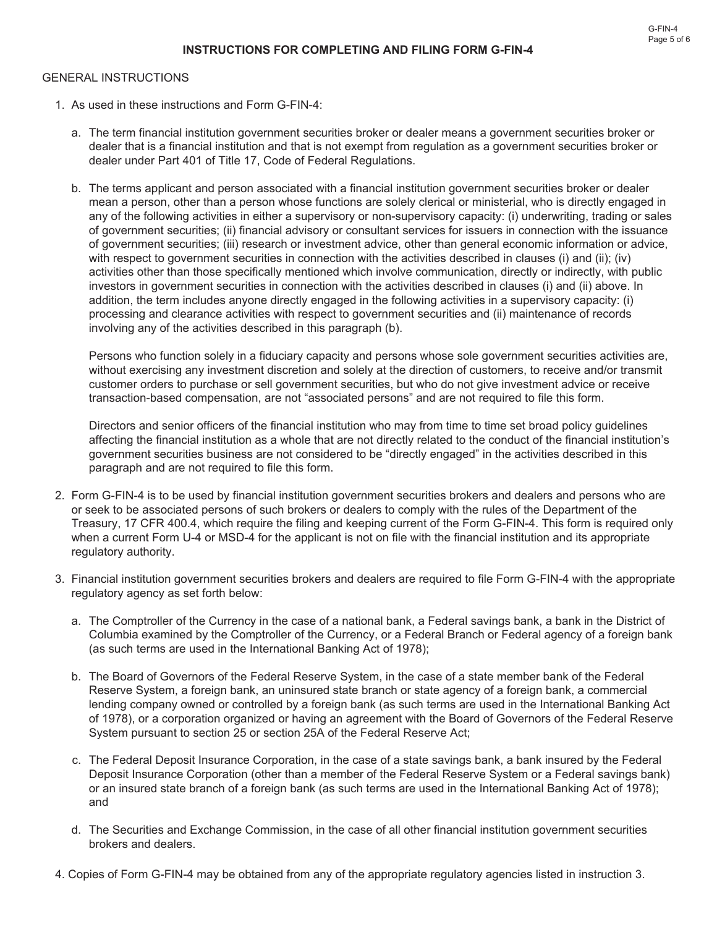## GENERAL INSTRUCTIONS

- 1. As used in these instructions and Form G-FIN-4:
	- a. The term financial institution government securities broker or dealer means a government securities broker or dealer that is a financial institution and that is not exempt from regulation as a government securities broker or dealer under Part 401 of Title 17, Code of Federal Regulations.
	- b. The terms applicant and person associated with a financial institution government securities broker or dealer mean a person, other than a person whose functions are solely clerical or ministerial, who is directly engaged in any of the following activities in either a supervisory or non-supervisory capacity: (i) underwriting, trading or sales of government securities; (ii) financial advisory or consultant services for issuers in connection with the issuance of government securities; (iii) research or investment advice, other than general economic information or advice, with respect to government securities in connection with the activities described in clauses (i) and (ii); (iv) activities other than those specifically mentioned which involve communication, directly or indirectly, with public investors in government securities in connection with the activities described in clauses (i) and (ii) above. In addition, the term includes anyone directly engaged in the following activities in a supervisory capacity: (i) processing and clearance activities with respect to government securities and (ii) maintenance of records involving any of the activities described in this paragraph (b).

Persons who function solely in a fiduciary capacity and persons whose sole government securities activities are, without exercising any investment discretion and solely at the direction of customers, to receive and/or transmit customer orders to purchase or sell government securities, but who do not give investment advice or receive transaction-based compensation, are not "associated persons" and are not required to file this form.

Directors and senior officers of the financial institution who may from time to time set broad policy guidelines affecting the financial institution as a whole that are not directly related to the conduct of the financial institution's government securities business are not considered to be "directly engaged" in the activities described in this paragraph and are not required to file this form.

- 2. Form G-FIN-4 is to be used by financial institution government securities brokers and dealers and persons who are or seek to be associated persons of such brokers or dealers to comply with the rules of the Department of the Treasury, 17 CFR 400.4, which require the filing and keeping current of the Form G-FIN-4. This form is required only when a current Form U-4 or MSD-4 for the applicant is not on file with the financial institution and its appropriate regulatory authority.
- 3. Financial institution government securities brokers and dealers are required to file Form G-FIN-4 with the appropriate regulatory agency as set forth below:
	- a. The Comptroller of the Currency in the case of a national bank, a Federal savings bank, a bank in the District of Columbia examined by the Comptroller of the Currency, or a Federal Branch or Federal agency of a foreign bank (as such terms are used in the International Banking Act of 1978);
	- b. The Board of Governors of the Federal Reserve System, in the case of a state member bank of the Federal Reserve System, a foreign bank, an uninsured state branch or state agency of a foreign bank, a commercial lending company owned or controlled by a foreign bank (as such terms are used in the International Banking Act of 1978), or a corporation organized or having an agreement with the Board of Governors of the Federal Reserve System pursuant to section 25 or section 25A of the Federal Reserve Act;
	- c. The Federal Deposit Insurance Corporation, in the case of a state savings bank, a bank insured by the Federal Deposit Insurance Corporation (other than a member of the Federal Reserve System or a Federal savings bank) or an insured state branch of a foreign bank (as such terms are used in the International Banking Act of 1978); and
	- d. The Securities and Exchange Commission, in the case of all other financial institution government securities brokers and dealers.
- 4. Copies of Form G-FIN-4 may be obtained from any of the appropriate regulatory agencies listed in instruction 3.